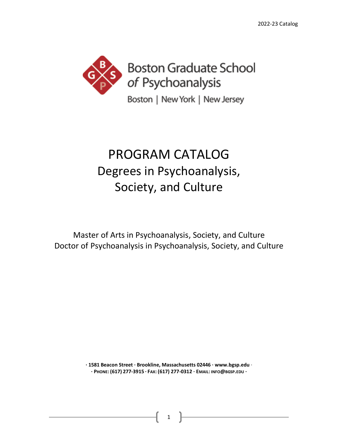

# PROGRAM CATALOG Degrees in Psychoanalysis, Society, and Culture

Master of Arts in Psychoanalysis, Society, and Culture Doctor of Psychoanalysis in Psychoanalysis, Society, and Culture

> **· 1581 Beacon Street · Brookline, Massachusetts 02446 · www.bgsp.edu** · **· PHONE: (617) 277-3915 · FAX: (617) 277-0312 · EMAIL: INFO@BGSP.EDU ·**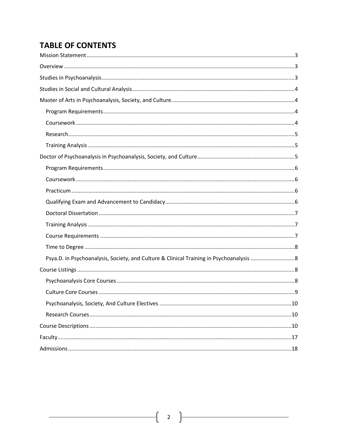# **TABLE OF CONTENTS**

| Psya.D. in Psychoanalysis, Society, and Culture & Clinical Training in Psychoanalysis 8 |
|-----------------------------------------------------------------------------------------|
|                                                                                         |
|                                                                                         |
|                                                                                         |
|                                                                                         |
|                                                                                         |
|                                                                                         |
|                                                                                         |
|                                                                                         |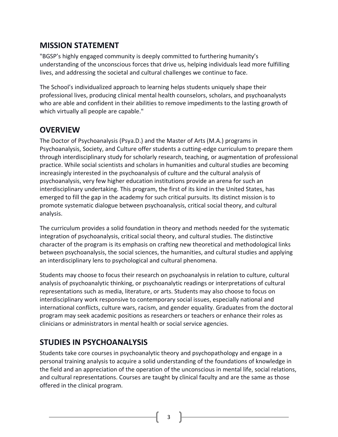# <span id="page-2-0"></span>**MISSION STATEMENT**

"BGSP's highly engaged community is deeply committed to furthering humanity's understanding of the unconscious forces that drive us, helping individuals lead more fulfilling lives, and addressing the societal and cultural challenges we continue to face.

The School's individualized approach to learning helps students uniquely shape their professional lives, producing clinical mental health counselors, scholars, and psychoanalysts who are able and confident in their abilities to remove impediments to the lasting growth of which virtually all people are capable."

# <span id="page-2-1"></span>**OVERVIEW**

The Doctor of Psychoanalysis (Psya.D.) and the Master of Arts (M.A.) programs in Psychoanalysis, Society, and Culture offer students a cutting-edge curriculum to prepare them through interdisciplinary study for scholarly research, teaching, or augmentation of professional practice. While social scientists and scholars in humanities and cultural studies are becoming increasingly interested in the psychoanalysis of culture and the cultural analysis of psychoanalysis, very few higher education institutions provide an arena for such an interdisciplinary undertaking. This program, the first of its kind in the United States, has emerged to fill the gap in the academy for such critical pursuits. Its distinct mission is to promote systematic dialogue between psychoanalysis, critical social theory, and cultural analysis.

The curriculum provides a solid foundation in theory and methods needed for the systematic integration of psychoanalysis, critical social theory, and cultural studies. The distinctive character of the program is its emphasis on crafting new theoretical and methodological links between psychoanalysis, the social sciences, the humanities, and cultural studies and applying an interdisciplinary lens to psychological and cultural phenomena.

Students may choose to focus their research on psychoanalysis in relation to culture, cultural analysis of psychoanalytic thinking, or psychoanalytic readings or interpretations of cultural representations such as media, literature, or arts. Students may also choose to focus on interdisciplinary work responsive to contemporary social issues, especially national and international conflicts, culture wars, racism, and gender equality. Graduates from the doctoral program may seek academic positions as researchers or teachers or enhance their roles as clinicians or administrators in mental health or social service agencies.

# <span id="page-2-2"></span>**STUDIES IN PSYCHOANALYSIS**

Students take core courses in psychoanalytic theory and psychopathology and engage in a personal training analysis to acquire a solid understanding of the foundations of knowledge in the field and an appreciation of the operation of the unconscious in mental life, social relations, and cultural representations. Courses are taught by clinical faculty and are the same as those offered in the clinical program.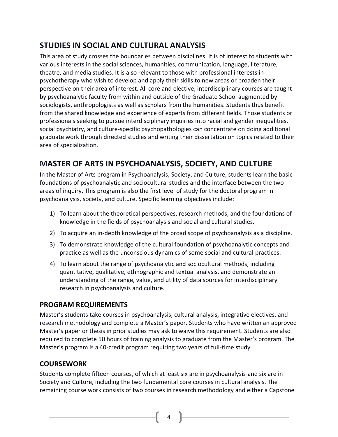# <span id="page-3-0"></span>**STUDIES IN SOCIAL AND CULTURAL ANALYSIS**

This area of study crosses the boundaries between disciplines. It is of interest to students with various interests in the social sciences, humanities, communication, language, literature, theatre, and media studies. It is also relevant to those with professional interests in psychotherapy who wish to develop and apply their skills to new areas or broaden their perspective on their area of interest. All core and elective, interdisciplinary courses are taught by psychoanalytic faculty from within and outside of the Graduate School augmented by sociologists, anthropologists as well as scholars from the humanities. Students thus benefit from the shared knowledge and experience of experts from different fields. Those students or professionals seeking to pursue interdisciplinary inquiries into racial and gender inequalities, social psychiatry, and culture-specific psychopathologies can concentrate on doing additional graduate work through directed studies and writing their dissertation on topics related to their area of specialization.

# <span id="page-3-1"></span>**MASTER OF ARTS IN PSYCHOANALYSIS, SOCIETY, AND CULTURE**

In the Master of Arts program in Psychoanalysis, Society, and Culture, students learn the basic foundations of psychoanalytic and sociocultural studies and the interface between the two areas of inquiry. This program is also the first level of study for the doctoral program in psychoanalysis, society, and culture. Specific learning objectives include:

- 1) To learn about the theoretical perspectives, research methods, and the foundations of knowledge in the fields of psychoanalysis and social and cultural studies.
- 2) To acquire an in-depth knowledge of the broad scope of psychoanalysis as a discipline.
- 3) To demonstrate knowledge of the cultural foundation of psychoanalytic concepts and practice as well as the unconscious dynamics of some social and cultural practices.
- 4) To learn about the range of psychoanalytic and sociocultural methods, including quantitative, qualitative, ethnographic and textual analysis, and demonstrate an understanding of the range, value, and utility of data sources for interdisciplinary research in psychoanalysis and culture.

## <span id="page-3-2"></span>**PROGRAM REQUIREMENTS**

Master's students take courses in psychoanalysis, cultural analysis, integrative electives, and research methodology and complete a Master's paper. Students who have written an approved Master's paper or thesis in prior studies may ask to waive this requirement. Students are also required to complete 50 hours of training analysis to graduate from the Master's program. The Master's program is a 40-credit program requiring two years of full-time study.

# <span id="page-3-3"></span>**COURSEWORK**

Students complete fifteen courses, of which at least six are in psychoanalysis and six are in Society and Culture, including the two fundamental core courses in cultural analysis. The remaining course work consists of two courses in research methodology and either a Capstone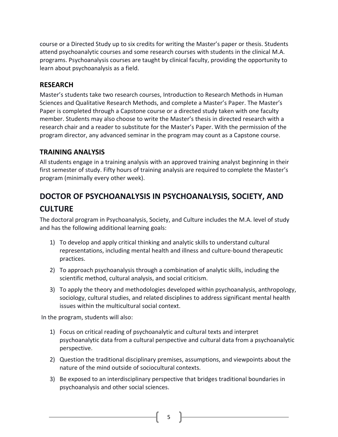course or a Directed Study up to six credits for writing the Master's paper or thesis. Students attend psychoanalytic courses and some research courses with students in the clinical M.A. programs. Psychoanalysis courses are taught by clinical faculty, providing the opportunity to learn about psychoanalysis as a field.

### <span id="page-4-0"></span>**RESEARCH**

Master's students take two research courses, Introduction to Research Methods in Human Sciences and Qualitative Research Methods, and complete a Master's Paper. The Master's Paper is completed through a Capstone course or a directed study taken with one faculty member. Students may also choose to write the Master's thesis in directed research with a research chair and a reader to substitute for the Master's Paper. With the permission of the program director, any advanced seminar in the program may count as a Capstone course.

## <span id="page-4-1"></span>**TRAINING ANALYSIS**

All students engage in a training analysis with an approved training analyst beginning in their first semester of study. Fifty hours of training analysis are required to complete the Master's program (minimally every other week).

# <span id="page-4-2"></span>**DOCTOR OF PSYCHOANALYSIS IN PSYCHOANALYSIS, SOCIETY, AND CULTURE**

The doctoral program in Psychoanalysis, Society, and Culture includes the M.A. level of study and has the following additional learning goals:

- 1) To develop and apply critical thinking and analytic skills to understand cultural representations, including mental health and illness and culture-bound therapeutic practices.
- 2) To approach psychoanalysis through a combination of analytic skills, including the scientific method, cultural analysis, and social criticism.
- 3) To apply the theory and methodologies developed within psychoanalysis, anthropology, sociology, cultural studies, and related disciplines to address significant mental health issues within the multicultural social context.

In the program, students will also:

- 1) Focus on critical reading of psychoanalytic and cultural texts and interpret psychoanalytic data from a cultural perspective and cultural data from a psychoanalytic perspective.
- 2) Question the traditional disciplinary premises, assumptions, and viewpoints about the nature of the mind outside of sociocultural contexts.
- 3) Be exposed to an interdisciplinary perspective that bridges traditional boundaries in psychoanalysis and other social sciences.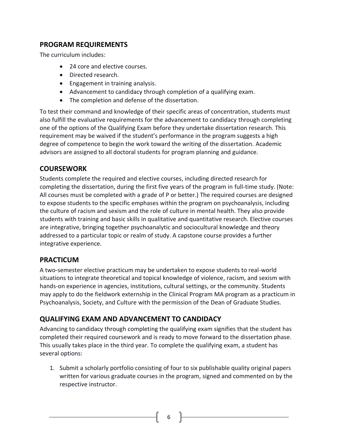# <span id="page-5-0"></span>**PROGRAM REQUIREMENTS**

The curriculum includes:

- 24 core and elective courses.
- Directed research.
- Engagement in training analysis.
- Advancement to candidacy through completion of a qualifying exam.
- The completion and defense of the dissertation.

To test their command and knowledge of their specific areas of concentration, students must also fulfill the evaluative requirements for the advancement to candidacy through completing one of the options of the Qualifying Exam before they undertake dissertation research. This requirement may be waived if the student's performance in the program suggests a high degree of competence to begin the work toward the writing of the dissertation. Academic advisors are assigned to all doctoral students for program planning and guidance.

## <span id="page-5-1"></span>**COURSEWORK**

Students complete the required and elective courses, including directed research for completing the dissertation, during the first five years of the program in full-time study. (Note: All courses must be completed with a grade of P or better.) The required courses are designed to expose students to the specific emphases within the program on psychoanalysis, including the culture of racism and sexism and the role of culture in mental health. They also provide students with training and basic skills in qualitative and quantitative research. Elective courses are integrative, bringing together psychoanalytic and sociocultural knowledge and theory addressed to a particular topic or realm of study. A capstone course provides a further integrative experience.

## <span id="page-5-2"></span>**PRACTICUM**

A two-semester elective practicum may be undertaken to expose students to real-world situations to integrate theoretical and topical knowledge of violence, racism, and sexism with hands-on experience in agencies, institutions, cultural settings, or the community. Students may apply to do the fieldwork externship in the Clinical Program MA program as a practicum in Psychoanalysis, Society, and Culture with the permission of the Dean of Graduate Studies.

## <span id="page-5-3"></span>**QUALIFYING EXAM AND ADVANCEMENT TO CANDIDACY**

Advancing to candidacy through completing the qualifying exam signifies that the student has completed their required coursework and is ready to move forward to the dissertation phase. This usually takes place in the third year. To complete the qualifying exam, a student has several options:

1. Submit a scholarly portfolio consisting of four to six publishable quality original papers written for various graduate courses in the program, signed and commented on by the respective instructor.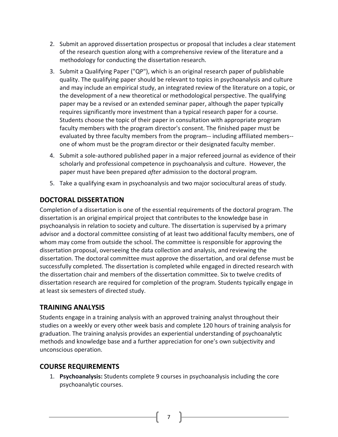- 2. Submit an approved dissertation prospectus or proposal that includes a clear statement of the research question along with a comprehensive review of the literature and a methodology for conducting the dissertation research.
- 3. Submit a Qualifying Paper ("QP"), which is an original research paper of publishable quality. The qualifying paper should be relevant to topics in psychoanalysis and culture and may include an empirical study, an integrated review of the literature on a topic, or the development of a new theoretical or methodological perspective. The qualifying paper may be a revised or an extended seminar paper, although the paper typically requires significantly more investment than a typical research paper for a course. Students choose the topic of their paper in consultation with appropriate program faculty members with the program director's consent. The finished paper must be evaluated by three faculty members from the program-- including affiliated members- one of whom must be the program director or their designated faculty member.
- 4. Submit a sole-authored published paper in a major refereed journal as evidence of their scholarly and professional competence in psychoanalysis and culture. However, the paper must have been prepared *after* admission to the doctoral program.
- 5. Take a qualifying exam in psychoanalysis and two major sociocultural areas of study.

## <span id="page-6-0"></span>**DOCTORAL DISSERTATION**

Completion of a dissertation is one of the essential requirements of the doctoral program. The dissertation is an original empirical project that contributes to the knowledge base in psychoanalysis in relation to society and culture. The dissertation is supervised by a primary advisor and a doctoral committee consisting of at least two additional faculty members, one of whom may come from outside the school. The committee is responsible for approving the dissertation proposal, overseeing the data collection and analysis, and reviewing the dissertation. The doctoral committee must approve the dissertation, and oral defense must be successfully completed. The dissertation is completed while engaged in directed research with the dissertation chair and members of the dissertation committee. Six to twelve credits of dissertation research are required for completion of the program. Students typically engage in at least six semesters of directed study.

### <span id="page-6-1"></span>**TRAINING ANALYSIS**

Students engage in a training analysis with an approved training analyst throughout their studies on a weekly or every other week basis and complete 120 hours of training analysis for graduation. The training analysis provides an experiential understanding of psychoanalytic methods and knowledge base and a further appreciation for one's own subjectivity and unconscious operation.

### <span id="page-6-2"></span>**COURSE REQUIREMENTS**

1. **Psychoanalysis:** Students complete 9 courses in psychoanalysis including the core psychoanalytic courses.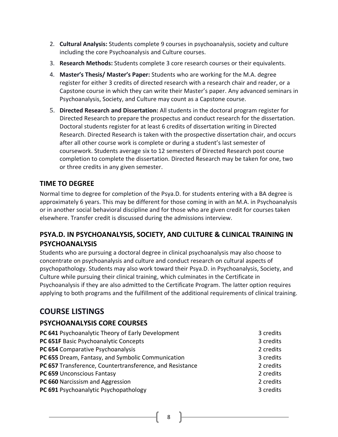- 2. **Cultural Analysis:** Students complete 9 courses in psychoanalysis, society and culture including the core Psychoanalysis and Culture courses.
- 3. **Research Methods:** Students complete 3 core research courses or their equivalents.
- 4. **Master's Thesis/ Master's Paper:** Students who are working for the M.A. degree register for either 3 credits of directed research with a research chair and reader, or a Capstone course in which they can write their Master's paper. Any advanced seminars in Psychoanalysis, Society, and Culture may count as a Capstone course.
- 5. **Directed Research and Dissertation:** All students in the doctoral program register for Directed Research to prepare the prospectus and conduct research for the dissertation. Doctoral students register for at least 6 credits of dissertation writing in Directed Research. Directed Research is taken with the prospective dissertation chair, and occurs after all other course work is complete or during a student's last semester of coursework. Students average six to 12 semesters of Directed Research post course completion to complete the dissertation. Directed Research may be taken for one, two or three credits in any given semester.

# <span id="page-7-0"></span>**TIME TO DEGREE**

Normal time to degree for completion of the Psya.D. for students entering with a BA degree is approximately 6 years. This may be different for those coming in with an M.A. in Psychoanalysis or in another social behavioral discipline and for those who are given credit for courses taken elsewhere. Transfer credit is discussed during the admissions interview.

# <span id="page-7-1"></span>**PSYA.D. IN PSYCHOANALYSIS, SOCIETY, AND CULTURE & CLINICAL TRAINING IN PSYCHOANALYSIS**

Students who are pursuing a doctoral degree in clinical psychoanalysis may also choose to concentrate on psychoanalysis and culture and conduct research on cultural aspects of psychopathology. Students may also work toward their Psya.D. in Psychoanalysis, Society, and Culture while pursuing their clinical training, which culminates in the Certificate in Psychoanalysis if they are also admitted to the Certificate Program. The latter option requires applying to both programs and the fulfillment of the additional requirements of clinical training.

# <span id="page-7-2"></span>**COURSE LISTINGS**

## <span id="page-7-3"></span>**PSYCHOANALYSIS CORE COURSES**

| PC 641 Psychoanalytic Theory of Early Development        | 3 credits |
|----------------------------------------------------------|-----------|
| PC 651F Basic Psychoanalytic Concepts                    | 3 credits |
| PC 654 Comparative Psychoanalysis                        | 2 credits |
| PC 655 Dream, Fantasy, and Symbolic Communication        | 3 credits |
| PC 657 Transference, Countertransference, and Resistance | 2 credits |
| PC 659 Unconscious Fantasy                               | 2 credits |
| PC 660 Narcissism and Aggression                         | 2 credits |
| PC 691 Psychoanalytic Psychopathology                    | 3 credits |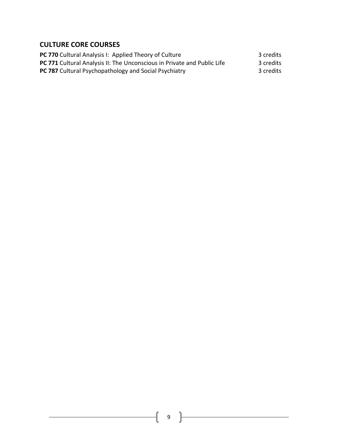## <span id="page-8-0"></span>**CULTURE CORE COURSES**

**PC 770** Cultural Analysis I: Applied Theory of Culture 3 credits **PC 771** Cultural Analysis II: The Unconscious in Private and Public Life 3 credits **PC 787** Cultural Psychopathology and Social Psychiatry **3** credits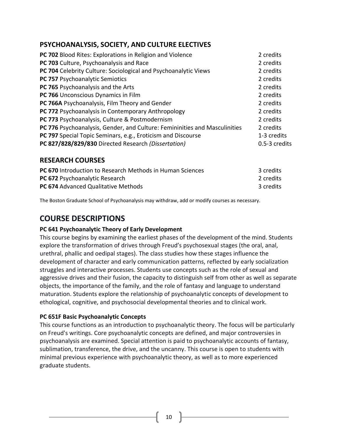# <span id="page-9-0"></span>**PSYCHOANALYSIS, SOCIETY, AND CULTURE ELECTIVES**

| PC 702 Blood Rites: Explorations in Religion and Violence                  | 2 credits     |
|----------------------------------------------------------------------------|---------------|
| PC 703 Culture, Psychoanalysis and Race                                    | 2 credits     |
| PC 704 Celebrity Culture: Sociological and Psychoanalytic Views            | 2 credits     |
| PC 757 Psychoanalytic Semiotics                                            | 2 credits     |
| PC 765 Psychoanalysis and the Arts                                         | 2 credits     |
| PC 766 Unconscious Dynamics in Film                                        | 2 credits     |
| PC 766A Psychoanalysis, Film Theory and Gender                             | 2 credits     |
| PC 772 Psychoanalysis in Contemporary Anthropology                         | 2 credits     |
| PC 773 Psychoanalysis, Culture & Postmodernism                             | 2 credits     |
| PC 776 Psychoanalysis, Gender, and Culture: Femininities and Masculinities | 2 credits     |
| PC 797 Special Topic Seminars, e.g., Eroticism and Discourse               | 1-3 credits   |
| PC 827/828/829/830 Directed Research (Dissertation)                        | 0.5-3 credits |
|                                                                            |               |

### <span id="page-9-1"></span>**RESEARCH COURSES**

| <b>PC 670</b> Introduction to Research Methods in Human Sciences | 3 credits |
|------------------------------------------------------------------|-----------|
| <b>PC 672 Psychoanalytic Research</b>                            | 2 credits |
| <b>PC 674</b> Advanced Qualitative Methods                       | 3 credits |

<span id="page-9-2"></span>The Boston Graduate School of Psychoanalysis may withdraw, add or modify courses as necessary.

# **COURSE DESCRIPTIONS**

#### **PC 641 Psychoanalytic Theory of Early Development**

This course begins by examining the earliest phases of the development of the mind. Students explore the transformation of drives through Freud's psychosexual stages (the oral, anal, urethral, phallic and oedipal stages). The class studies how these stages influence the development of character and early communication patterns, reflected by early socialization struggles and interactive processes. Students use concepts such as the role of sexual and aggressive drives and their fusion, the capacity to distinguish self from other as well as separate objects, the importance of the family, and the role of fantasy and language to understand maturation. Students explore the relationship of psychoanalytic concepts of development to ethological, cognitive, and psychosocial developmental theories and to clinical work.

#### **PC 651F Basic Psychoanalytic Concepts**

This course functions as an introduction to psychoanalytic theory. The focus will be particularly on Freud's writings. Core psychoanalytic concepts are defined, and major controversies in psychoanalysis are examined. Special attention is paid to psychoanalytic accounts of fantasy, sublimation, transference, the drive, and the uncanny. This course is open to students with minimal previous experience with psychoanalytic theory, as well as to more experienced graduate students.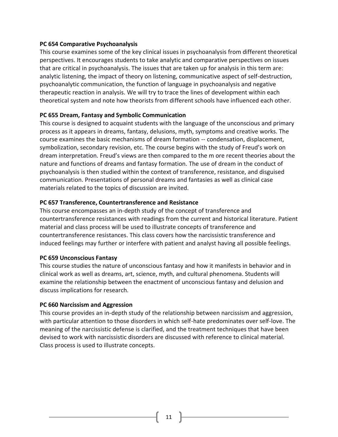#### **PC 654 Comparative Psychoanalysis**

This course examines some of the key clinical issues in psychoanalysis from different theoretical perspectives. It encourages students to take analytic and comparative perspectives on issues that are critical in psychoanalysis. The issues that are taken up for analysis in this term are: analytic listening, the impact of theory on listening, communicative aspect of self-destruction, psychoanalytic communication, the function of language in psychoanalysis and negative therapeutic reaction in analysis. We will try to trace the lines of development within each theoretical system and note how theorists from different schools have influenced each other.

#### **PC 655 Dream, Fantasy and Symbolic Communication**

This course is designed to acquaint students with the language of the unconscious and primary process as it appears in dreams, fantasy, delusions, myth, symptoms and creative works. The course examines the basic mechanisms of dream formation -- condensation, displacement, symbolization, secondary revision, etc. The course begins with the study of Freud's work on dream interpretation. Freud's views are then compared to the m ore recent theories about the nature and functions of dreams and fantasy formation. The use of dream in the conduct of psychoanalysis is then studied within the context of transference, resistance, and disguised communication. Presentations of personal dreams and fantasies as well as clinical case materials related to the topics of discussion are invited.

#### **PC 657 Transference, Countertransference and Resistance**

This course encompasses an in-depth study of the concept of transference and countertransference resistances with readings from the current and historical literature. Patient material and class process will be used to illustrate concepts of transference and countertransference resistances. This class covers how the narcissistic transference and induced feelings may further or interfere with patient and analyst having all possible feelings.

#### **PC 659 Unconscious Fantasy**

This course studies the nature of unconscious fantasy and how it manifests in behavior and in clinical work as well as dreams, art, science, myth, and cultural phenomena. Students will examine the relationship between the enactment of unconscious fantasy and delusion and discuss implications for research.

#### **PC 660 Narcissism and Aggression**

This course provides an in-depth study of the relationship between narcissism and aggression, with particular attention to those disorders in which self-hate predominates over self-love. The meaning of the narcissistic defense is clarified, and the treatment techniques that have been devised to work with narcissistic disorders are discussed with reference to clinical material. Class process is used to illustrate concepts.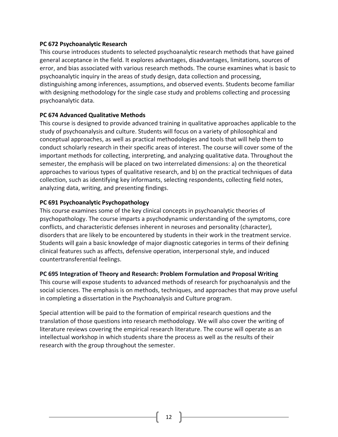#### **PC 672 Psychoanalytic Research**

This course introduces students to selected psychoanalytic research methods that have gained general acceptance in the field. It explores advantages, disadvantages, limitations, sources of error, and bias associated with various research methods. The course examines what is basic to psychoanalytic inquiry in the areas of study design, data collection and processing, distinguishing among inferences, assumptions, and observed events. Students become familiar with designing methodology for the single case study and problems collecting and processing psychoanalytic data.

#### **PC 674 Advanced Qualitative Methods**

This course is designed to provide advanced training in qualitative approaches applicable to the study of psychoanalysis and culture. Students will focus on a variety of philosophical and conceptual approaches, as well as practical methodologies and tools that will help them to conduct scholarly research in their specific areas of interest. The course will cover some of the important methods for collecting, interpreting, and analyzing qualitative data. Throughout the semester, the emphasis will be placed on two interrelated dimensions: a) on the theoretical approaches to various types of qualitative research, and b) on the practical techniques of data collection, such as identifying key informants, selecting respondents, collecting field notes, analyzing data, writing, and presenting findings.

#### **PC 691 Psychoanalytic Psychopathology**

This course examines some of the key clinical concepts in psychoanalytic theories of psychopathology. The course imparts a psychodynamic understanding of the symptoms, core conflicts, and characteristic defenses inherent in neuroses and personality (character), disorders that are likely to be encountered by students in their work in the treatment service. Students will gain a basic knowledge of major diagnostic categories in terms of their defining clinical features such as affects, defensive operation, interpersonal style, and induced countertransferential feelings.

#### **PC 695 Integration of Theory and Research: Problem Formulation and Proposal Writing**

This course will expose students to advanced methods of research for psychoanalysis and the social sciences. The emphasis is on methods, techniques, and approaches that may prove useful in completing a dissertation in the Psychoanalysis and Culture program.

Special attention will be paid to the formation of empirical research questions and the translation of those questions into research methodology. We will also cover the writing of literature reviews covering the empirical research literature. The course will operate as an intellectual workshop in which students share the process as well as the results of their research with the group throughout the semester.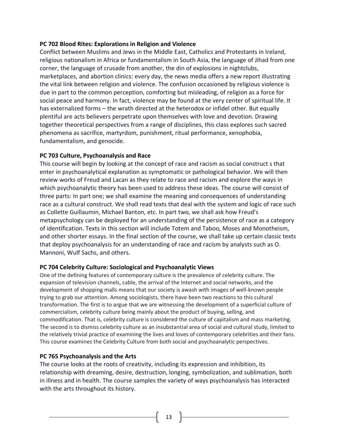#### **PC 702 Blood Rites: Explorations in Religion and Violence**

Conflict between Muslims and Jews in the Middle East, Catholics and Protestants in Ireland, religious nationalism in Africa or fundamentalism in South Asia, the language of Jihad from one corner, the language of crusade from another, the din of explosions in nightclubs, marketplaces, and abortion clinics: every day, the news media offers a new report illustrating the vital link between religion and violence. The confusion occasioned by religious violence is due in part to the common perception, comforting but misleading, of religion as a force for social peace and harmony. In fact, violence may be found at the very center of spiritual life. It has externalized forms – the wrath directed at the heterodox or infidel other. But equally plentiful are acts believers perpetrate upon themselves with love and devotion. Drawing together theoretical perspectives from a range of disciplines, this class explores such sacred phenomena as sacrifice, martyrdom, punishment, ritual performance, xenophobia, fundamentalism, and genocide.

#### **PC 703 Culture, Psychoanalysis and Race**

This course will begin by looking at the concept of race and racism as social construct s that enter in psychoanalytical explanation as symptomatic or pathological behavior. We will then review works of Freud and Lacan as they relate to race and racism and explore the ways in which psychoanalytic theory has been used to address these ideas. The course will consist of three parts: In part one; we shall examine the meaning and consequences of understanding race as a cultural construct. We shall read texts that deal with the system and logic of race such as Collette Guillaumin, Michael Banton, etc. In part two, we shall ask how Freud's metapsychology can be deployed for an understanding of the persistence of race as a category of identification. Texts in this section will include Totem and Taboo, Moses and Monotheism, and other shorter essays. In the final section of the course, we shall take up certain classic texts that deploy psychoanalysis for an understanding of race and racism by analysts such as O. Mannoni, Wulf Sachs, and others.

#### **PC 704 Celebrity Culture: Sociological and Psychoanalytic Views**

One of the defining features of contemporary culture is the prevalence of celebrity culture. The expansion of television channels, cable, the arrival of the Internet and social networks, and the development of shopping malls means that our society is awash with images of well-known people trying to grab our attention. Among sociologists, there have been two reactions to this cultural transformation. The first is to argue that we are witnessing the development of a superficial culture of commercialism, celebrity culture being mainly about the product of buying, selling, and commodification. That is, celebrity culture is considered the culture of capitalism and mass marketing. The second is to dismiss celebrity culture as an insubstantial area of social and cultural study, limited to the relatively trivial practice of examining the lives and loves of contemporary celebrities and their fans. This course examines the Celebrity Culture from both social and psychoanalytic perspectives.

#### **PC 765 Psychoanalysis and the Arts**

The course looks at the roots of creativity, including its expression and inhibition, its relationship with dreaming, desire, destruction, longing, symbolization, and sublimation, both in illness and in health. The course samples the variety of ways psychoanalysis has interacted with the arts throughout its history.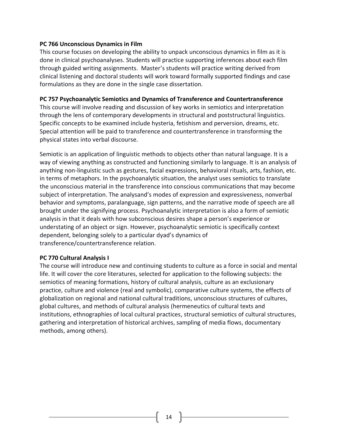#### **PC 766 Unconscious Dynamics in Film**

This course focuses on developing the ability to unpack unconscious dynamics in film as it is done in clinical psychoanalyses. Students will practice supporting inferences about each film through guided writing assignments. Master's students will practice writing derived from clinical listening and doctoral students will work toward formally supported findings and case formulations as they are done in the single case dissertation.

#### **PC 757 Psychoanalytic Semiotics and Dynamics of Transference and Countertransference**

This course will involve reading and discussion of key works in semiotics and interpretation through the lens of contemporary developments in structural and poststructural linguistics. Specific concepts to be examined include hysteria, fetishism and perversion, dreams, etc. Special attention will be paid to transference and countertransference in transforming the physical states into verbal discourse.

Semiotic is an application of linguistic methods to objects other than natural language. It is a way of viewing anything as constructed and functioning similarly to language. It is an analysis of anything non-linguistic such as gestures, facial expressions, behavioral rituals, arts, fashion, etc. in terms of metaphors. In the psychoanalytic situation, the analyst uses semiotics to translate the unconscious material in the transference into conscious communications that may become subject of interpretation. The analysand's modes of expression and expressiveness, nonverbal behavior and symptoms, paralanguage, sign patterns, and the narrative mode of speech are all brought under the signifying process. Psychoanalytic interpretation is also a form of semiotic analysis in that it deals with how subconscious desires shape a person's experience or understating of an object or sign. However, psychoanalytic semiotic is specifically context dependent, belonging solely to a particular dyad's dynamics of transference/countertransference relation.

#### **PC 770 Cultural Analysis I**

The course will introduce new and continuing students to culture as a force in social and mental life. It will cover the core literatures, selected for application to the following subjects: the semiotics of meaning formations, history of cultural analysis, culture as an exclusionary practice, culture and violence (real and symbolic), comparative culture systems, the effects of globalization on regional and national cultural traditions, unconscious structures of cultures, global cultures, and methods of cultural analysis (hermeneutics of cultural texts and institutions, ethnographies of local cultural practices, structural semiotics of cultural structures, gathering and interpretation of historical archives, sampling of media flows, documentary methods, among others).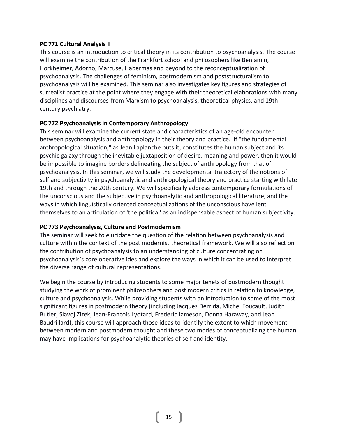#### **PC 771 Cultural Analysis II**

This course is an introduction to critical theory in its contribution to psychoanalysis. The course will examine the contribution of the Frankfurt school and philosophers like Benjamin, Horkheimer, Adorno, Marcuse, Habermas and beyond to the reconceptualization of psychoanalysis. The challenges of feminism, postmodernism and poststructuralism to psychoanalysis will be examined. This seminar also investigates key figures and strategies of surrealist practice at the point where they engage with their theoretical elaborations with many disciplines and discourses-from Marxism to psychoanalysis, theoretical physics, and 19thcentury psychiatry.

#### **PC 772 Psychoanalysis in Contemporary Anthropology**

This seminar will examine the current state and characteristics of an age-old encounter between psychoanalysis and anthropology in their theory and practice. If "the fundamental anthropological situation," as Jean Laplanche puts it, constitutes the human subject and its psychic galaxy through the inevitable juxtaposition of desire, meaning and power, then it would be impossible to imagine borders delineating the subject of anthropology from that of psychoanalysis. In this seminar, we will study the developmental trajectory of the notions of self and subjectivity in psychoanalytic and anthropological theory and practice starting with late 19th and through the 20th century. We will specifically address contemporary formulations of the unconscious and the subjective in psychoanalytic and anthropological literature, and the ways in which linguistically oriented conceptualizations of the unconscious have lent themselves to an articulation of 'the political' as an indispensable aspect of human subjectivity.

#### **PC 773 Psychoanalysis, Culture and Postmodernism**

The seminar will seek to elucidate the question of the relation between psychoanalysis and culture within the context of the post modernist theoretical framework. We will also reflect on the contribution of psychoanalysis to an understanding of culture concentrating on psychoanalysis's core operative ides and explore the ways in which it can be used to interpret the diverse range of cultural representations.

We begin the course by introducing students to some major tenets of postmodern thought studying the work of prominent philosophers and post modern critics in relation to knowledge, culture and psychoanalysis. While providing students with an introduction to some of the most significant figures in postmodern theory (including Jacques Derrida, Michel Foucault, Judith Butler, Slavoj Zizek, Jean-Francois Lyotard, Frederic Jameson, Donna Haraway, and Jean Baudrillard), this course will approach those ideas to identify the extent to which movement between modern and postmodern thought and these two modes of conceptualizing the human may have implications for psychoanalytic theories of self and identity.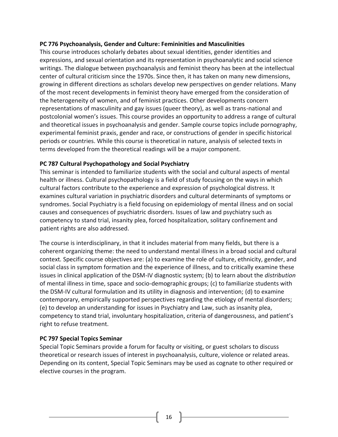#### **PC 776 Psychoanalysis, Gender and Culture: Femininities and Masculinities**

This course introduces scholarly debates about sexual identities, gender identities and expressions, and sexual orientation and its representation in psychoanalytic and social science writings. The dialogue between psychoanalysis and feminist theory has been at the intellectual center of cultural criticism since the 1970s. Since then, it has taken on many new dimensions, growing in different directions as scholars develop new perspectives on gender relations. Many of the most recent developments in feminist theory have emerged from the consideration of the heterogeneity of women, and of feminist practices. Other developments concern representations of masculinity and gay issues (queer theory), as well as trans-national and postcolonial women's issues. This course provides an opportunity to address a range of cultural and theoretical issues in psychoanalysis and gender. Sample course topics include pornography, experimental feminist praxis, gender and race, or constructions of gender in specific historical periods or countries. While this course is theoretical in nature, analysis of selected texts in terms developed from the theoretical readings will be a major component.

#### **PC 787 Cultural Psychopathology and Social Psychiatry**

This seminar is intended to familiarize students with the social and cultural aspects of mental health or illness. Cultural psychopathology is a field of study focusing on the ways in which cultural factors contribute to the experience and expression of psychological distress. It examines cultural variation in psychiatric disorders and cultural determinants of symptoms or syndromes. Social Psychiatry is a field focusing on epidemiology of mental illness and on social causes and consequences of psychiatric disorders. Issues of law and psychiatry such as competency to stand trial, insanity plea, forced hospitalization, solitary confinement and patient rights are also addressed.

The course is interdisciplinary, in that it includes material from many fields, but there is a coherent organizing theme: the need to understand mental illness in a broad social and cultural context*.* Specific course objectives are: (a) to examine the role of culture, ethnicity, gender, and social class in symptom formation and the experience of illness, and to critically examine these issues in clinical application of the DSM-IV diagnostic system; (b) to learn about the *distribution* of mental illness in time, space and socio-demographic groups; (c) to familiarize students with the DSM-IV cultural formulation and its utility in diagnosis and intervention; (d) to examine contemporary, empirically supported perspectives regarding the etiology of mental disorders; (e) to develop an understanding for issues in Psychiatry and Law, such as insanity plea, competency to stand trial, involuntary hospitalization, criteria of dangerousness, and patient's right to refuse treatment.

#### **PC 797 Special Topics Seminar**

Special Topic Seminars provide a forum for faculty or visiting, or guest scholars to discuss theoretical or research issues of interest in psychoanalysis, culture, violence or related areas. Depending on its content, Special Topic Seminars may be used as cognate to other required or elective courses in the program.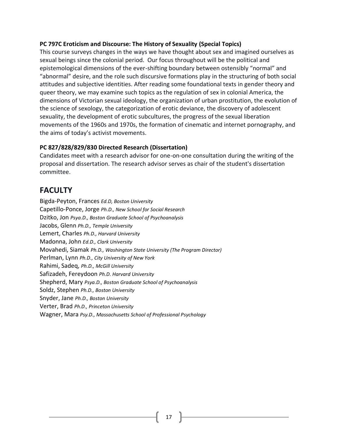#### **PC 797C Eroticism and Discourse: The History of Sexuality (Special Topics)**

This course surveys changes in the ways we have thought about sex and imagined ourselves as sexual beings since the colonial period. Our focus throughout will be the political and epistemological dimensions of the ever-shifting boundary between ostensibly "normal" and "abnormal" desire, and the role such discursive formations play in the structuring of both social attitudes and subjective identities. After reading some foundational texts in gender theory and queer theory, we may examine such topics as the regulation of sex in colonial America, the dimensions of Victorian sexual ideology, the organization of urban prostitution, the evolution of the science of sexology, the categorization of erotic deviance, the discovery of adolescent sexuality, the development of erotic subcultures, the progress of the sexual liberation movements of the 1960s and 1970s, the formation of cinematic and internet pornography, and the aims of today's activist movements.

#### **PC 827/828/829/830 Directed Research (Dissertation)**

Candidates meet with a research advisor for one-on-one consultation during the writing of the proposal and dissertation. The research advisor serves as chair of the student's dissertation committee.

# <span id="page-16-0"></span>**FACULTY**

Bigda-Peyton, Frances *Ed.D, Boston University* Capetillo-Ponce, Jorge *Ph.D., New School for Social Research* Dzitko, Jon *Psya.D., Boston Graduate School of Psychoanalysis* Jacobs, Glenn *Ph.D., Temple University* Lemert, Charles *Ph.D., Harvard University* Madonna, John *Ed.D., Clark University* Movahedi, Siamak *Ph.D., Washington State University (The Program Director)* Perlman, Lynn *Ph.D., City University of New York* Rahimi, Sadeq, *Ph.D., McGill University* Safizadeh, Fereydoon *Ph.D. Harvard University* Shepherd, Mary *Psya.D., Boston Graduate School of Psychoanalysis* Soldz, Stephen *Ph.D., Boston University* Snyder, Jane *Ph.D., Boston University* Verter, Brad *Ph.D., Princeton University* Wagner, Mara *Psy.D., Massachusetts School of Professional Psychology*